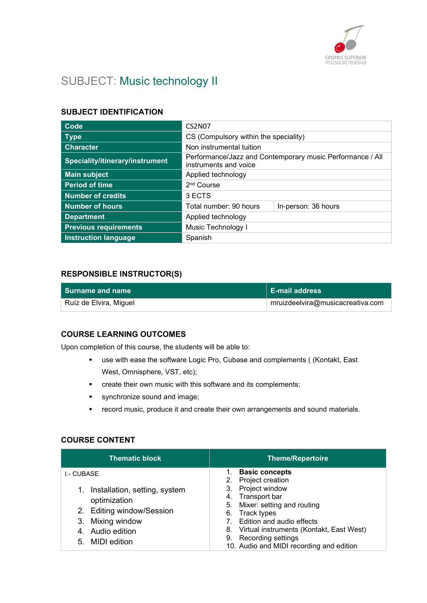

# SUBJECT: Music technology II

### SUBJECT IDENTIFICATION

| Code                            | <b>CS2N07</b>                                                                      |                     |
|---------------------------------|------------------------------------------------------------------------------------|---------------------|
| <b>Type</b>                     | CS (Compulsory within the speciality)                                              |                     |
| <b>Character</b>                | Non instrumental tuition                                                           |                     |
| Speciality/itinerary/instrument | Performance/Jazz and Contemporary music Performance / All<br>instruments and voice |                     |
| <b>Main subject</b>             | Applied technology                                                                 |                     |
| <b>Period of time</b>           | 2 <sup>nd</sup> Course                                                             |                     |
| <b>Number of credits</b>        | 3 ECTS                                                                             |                     |
| <b>Number of hours</b>          | Total number: 90 hours                                                             | In-person: 36 hours |
| <b>Department</b>               | Applied technology                                                                 |                     |
| <b>Previous requirements</b>    | Music Technology I                                                                 |                     |
| <b>Instruction language</b>     | Spanish                                                                            |                     |

#### RESPONSIBLE INSTRUCTOR(S)

| l Surname and name     | <b>E-mail address</b>            |
|------------------------|----------------------------------|
| Ruíz de Elvira, Miguel | mruizdeelvira@musicacreativa.com |

#### COURSE LEARNING OUTCOMES

Upon completion of this course, the students will be able to:

- use with ease the software Logic Pro, Cubase and complements ( (Kontakt, East West, Omnisphere, VST, etc);
- **•** create their own music with this software and its complements;
- **synchronize sound and image;**
- **F** record music, produce it and create their own arrangements and sound materials.

#### COURSE CONTENT

| <b>Basic concepts</b><br>1.<br>I.- CUBASE.<br>2. Project creation<br>3. Project window<br>Installation, setting, system<br>1.<br>4. Transport bar<br>optimization<br>5. Mixer: setting and routing<br>2. Editing window/Session<br>6. Track types<br>Mixing window<br>Edition and audio effects<br>3.<br>8. Virtual instruments (Kontakt, East West)<br>4. Audio edition<br>9. Recording settings<br>5. MIDI edition<br>10. Audio and MIDI recording and edition | <b>Thematic block</b> | <b>Theme/Repertoire</b> |
|------------------------------------------------------------------------------------------------------------------------------------------------------------------------------------------------------------------------------------------------------------------------------------------------------------------------------------------------------------------------------------------------------------------------------------------------------------------|-----------------------|-------------------------|
|                                                                                                                                                                                                                                                                                                                                                                                                                                                                  |                       |                         |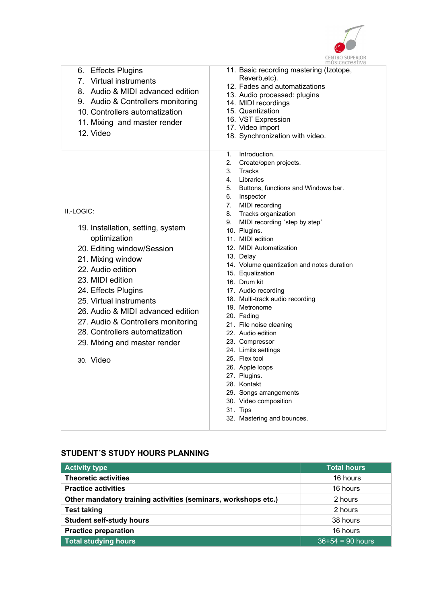

|                                                                                                                                                                                                                                                                                                                                                                         | musicacreativa                                                                                                                                                                                                                                                                                                                                                                                                                                                                                                                                                                                                                                                                                                                                        |
|-------------------------------------------------------------------------------------------------------------------------------------------------------------------------------------------------------------------------------------------------------------------------------------------------------------------------------------------------------------------------|-------------------------------------------------------------------------------------------------------------------------------------------------------------------------------------------------------------------------------------------------------------------------------------------------------------------------------------------------------------------------------------------------------------------------------------------------------------------------------------------------------------------------------------------------------------------------------------------------------------------------------------------------------------------------------------------------------------------------------------------------------|
| 6. Effects Plugins<br>7. Virtual instruments<br>8. Audio & MIDI advanced edition<br>9. Audio & Controllers monitoring<br>10. Controllers automatization<br>11. Mixing and master render<br>12. Video                                                                                                                                                                    | 11. Basic recording mastering (Izotope,<br>Reverb, etc).<br>12. Fades and automatizations<br>13. Audio processed: plugins<br>14. MIDI recordings<br>15. Quantization<br>16. VST Expression<br>17. Video import<br>18. Synchronization with video.                                                                                                                                                                                                                                                                                                                                                                                                                                                                                                     |
| II.-LOGIC:<br>19. Installation, setting, system<br>optimization<br>20. Editing window/Session<br>21. Mixing window<br>22. Audio edition<br>23. MIDI edition<br>24. Effects Plugins<br>25. Virtual instruments<br>26. Audio & MIDI advanced edition<br>27. Audio & Controllers monitoring<br>28. Controllers automatization<br>29. Mixing and master render<br>30. Video | Introduction.<br>1.<br>2.<br>Create/open projects.<br>3.<br>Tracks<br>4. Libraries<br>Buttons, functions and Windows bar.<br>5.<br>6. Inspector<br>7. MIDI recording<br>8. Tracks organization<br>MIDI recording 'step by step'<br>9.<br>10. Plugins.<br>11. MIDI edition<br>12. MIDI Automatization<br>13. Delay<br>14. Volume quantization and notes duration<br>15. Equalization<br>16. Drum kit<br>17. Audio recording<br>18. Multi-track audio recording<br>19. Metronome<br>20. Fading<br>21. File noise cleaning<br>22. Audio edition<br>23. Compressor<br>24. Limits settings<br>25. Flex tool<br>26. Apple loops<br>27. Plugins.<br>28. Kontakt<br>29. Songs arrangements<br>30. Video composition<br>31. Tips<br>32. Mastering and bounces. |

# STUDENT´S STUDY HOURS PLANNING

| <b>Activity type</b>                                           | <b>Total hours</b> |
|----------------------------------------------------------------|--------------------|
| <b>Theoretic activities</b>                                    | 16 hours           |
| <b>Practice activities</b>                                     | 16 hours           |
| Other mandatory training activities (seminars, workshops etc.) | 2 hours            |
| <b>Test taking</b>                                             | 2 hours            |
| <b>Student self-study hours</b>                                | 38 hours           |
| <b>Practice preparation</b>                                    | 16 hours           |
| <b>Total studying hours</b>                                    | $36+54 = 90$ hours |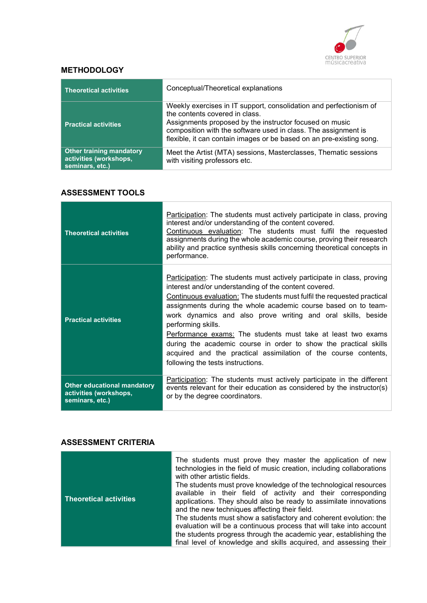

## **METHODOLOGY**

| <b>Theoretical activities</b>                                                | Conceptual/Theoretical explanations                                                                                                                                                                                                                                                                       |
|------------------------------------------------------------------------------|-----------------------------------------------------------------------------------------------------------------------------------------------------------------------------------------------------------------------------------------------------------------------------------------------------------|
| <b>Practical activities</b>                                                  | Weekly exercises in IT support, consolidation and perfectionism of<br>the contents covered in class.<br>Assignments proposed by the instructor focused on music<br>composition with the software used in class. The assignment is<br>flexible, it can contain images or be based on an pre-existing song. |
| <b>Other training mandatory</b><br>activities (workshops,<br>seminars, etc.) | Meet the Artist (MTA) sessions, Masterclasses, Thematic sessions<br>with visiting professors etc.                                                                                                                                                                                                         |

## ASSESSMENT TOOLS

| <b>Theoretical activities</b>                                                   | Participation: The students must actively participate in class, proving<br>interest and/or understanding of the content covered.<br>Continuous evaluation: The students must fulfil the requested<br>assignments during the whole academic course, proving their research<br>ability and practice synthesis skills concerning theoretical concepts in<br>performance.                                                                                                                                                                                                                                                  |
|---------------------------------------------------------------------------------|------------------------------------------------------------------------------------------------------------------------------------------------------------------------------------------------------------------------------------------------------------------------------------------------------------------------------------------------------------------------------------------------------------------------------------------------------------------------------------------------------------------------------------------------------------------------------------------------------------------------|
| <b>Practical activities</b>                                                     | <b>Participation:</b> The students must actively participate in class, proving<br>interest and/or understanding of the content covered.<br>Continuous evaluation: The students must fulfil the requested practical<br>assignments during the whole academic course based on to team-<br>work dynamics and also prove writing and oral skills, beside<br>performing skills.<br>Performance exams: The students must take at least two exams<br>during the academic course in order to show the practical skills<br>acquired and the practical assimilation of the course contents,<br>following the tests instructions. |
| <b>Other educational mandatory</b><br>activities (workshops,<br>seminars, etc.) | Participation: The students must actively participate in the different<br>events relevant for their education as considered by the instructor(s)<br>or by the degree coordinators.                                                                                                                                                                                                                                                                                                                                                                                                                                     |

# ASSESSMENT CRITERIA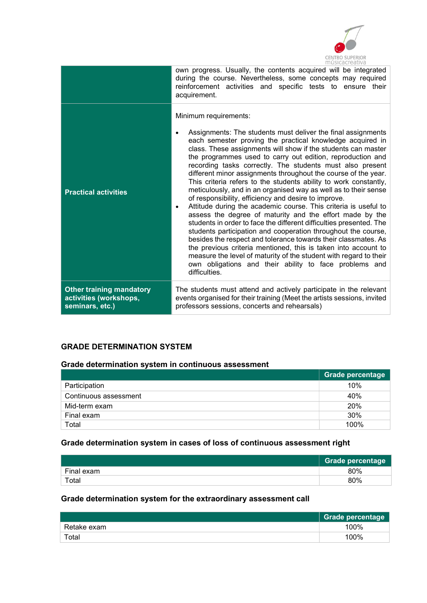

|                                                                              | THUSICACI CALIVA                                                                                                                                                                                                                                                                                                                                                                                                                                                                                                                                                                                                                                                                                                                                                                                                                                                                                                                                                                                                                                                                                                                                                                     |
|------------------------------------------------------------------------------|--------------------------------------------------------------------------------------------------------------------------------------------------------------------------------------------------------------------------------------------------------------------------------------------------------------------------------------------------------------------------------------------------------------------------------------------------------------------------------------------------------------------------------------------------------------------------------------------------------------------------------------------------------------------------------------------------------------------------------------------------------------------------------------------------------------------------------------------------------------------------------------------------------------------------------------------------------------------------------------------------------------------------------------------------------------------------------------------------------------------------------------------------------------------------------------|
|                                                                              | own progress. Usually, the contents acquired will be integrated<br>during the course. Nevertheless, some concepts may required<br>reinforcement activities and specific tests to ensure their<br>acquirement.                                                                                                                                                                                                                                                                                                                                                                                                                                                                                                                                                                                                                                                                                                                                                                                                                                                                                                                                                                        |
| <b>Practical activities</b>                                                  | Minimum requirements:<br>Assignments: The students must deliver the final assignments<br>٠<br>each semester proving the practical knowledge acquired in<br>class. These assignments will show if the students can master<br>the programmes used to carry out edition, reproduction and<br>recording tasks correctly. The students must also present<br>different minor assignments throughout the course of the year.<br>This criteria refers to the students ability to work constantly,<br>meticulously, and in an organised way as well as to their sense<br>of responsibility, efficiency and desire to improve.<br>Attitude during the academic course. This criteria is useful to<br>٠<br>assess the degree of maturity and the effort made by the<br>students in order to face the different difficulties presented. The<br>students participation and cooperation throughout the course,<br>besides the respect and tolerance towards their classmates. As<br>the previous criteria mentioned, this is taken into account to<br>measure the level of maturity of the student with regard to their<br>own obligations and their ability to face problems and<br>difficulties. |
| <b>Other training mandatory</b><br>activities (workshops,<br>seminars, etc.) | The students must attend and actively participate in the relevant<br>events organised for their training (Meet the artists sessions, invited<br>professors sessions, concerts and rehearsals)                                                                                                                                                                                                                                                                                                                                                                                                                                                                                                                                                                                                                                                                                                                                                                                                                                                                                                                                                                                        |

## GRADE DETERMINATION SYSTEM

### Grade determination system in continuous assessment

|                       | Grade percentage |
|-----------------------|------------------|
| Participation         | 10%              |
| Continuous assessment | 40%              |
| Mid-term exam         | 20%              |
| Final exam            | 30%              |
| Total                 | 100%             |

# Grade determination system in cases of loss of continuous assessment right

|            | <b>Grade percentage</b> |
|------------|-------------------------|
| Final exam | 80%                     |
| Total      | 80%                     |

# Grade determination system for the extraordinary assessment call

|             | Grade percentage |
|-------------|------------------|
| Retake exam | 100%             |
| Total       | 100%             |